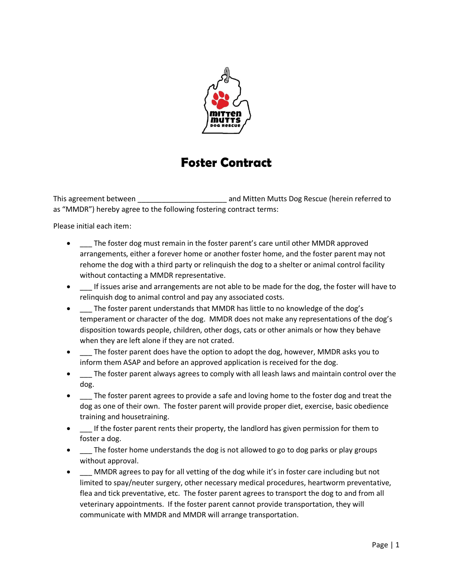

## **Foster Contract**

This agreement between \_\_\_\_\_\_\_\_\_\_\_\_\_\_\_\_\_\_\_\_\_\_\_\_\_\_ and Mitten Mutts Dog Rescue (herein referred to as "MMDR") hereby agree to the following fostering contract terms:

Please initial each item:

- The foster dog must remain in the foster parent's care until other MMDR approved arrangements, either a forever home or another foster home, and the foster parent may not rehome the dog with a third party or relinquish the dog to a shelter or animal control facility without contacting a MMDR representative.
- If issues arise and arrangements are not able to be made for the dog, the foster will have to relinquish dog to animal control and pay any associated costs.
- $\blacksquare$  The foster parent understands that MMDR has little to no knowledge of the dog's temperament or character of the dog. MMDR does not make any representations of the dog's disposition towards people, children, other dogs, cats or other animals or how they behave when they are left alone if they are not crated.
- $\blacksquare$  The foster parent does have the option to adopt the dog, however, MMDR asks you to inform them ASAP and before an approved application is received for the dog.
- The foster parent always agrees to comply with all leash laws and maintain control over the dog.
- The foster parent agrees to provide a safe and loving home to the foster dog and treat the dog as one of their own. The foster parent will provide proper diet, exercise, basic obedience training and housetraining.
- \_\_\_ If the foster parent rents their property, the landlord has given permission for them to foster a dog.
- \_\_\_ The foster home understands the dog is not allowed to go to dog parks or play groups without approval.
- MMDR agrees to pay for all vetting of the dog while it's in foster care including but not limited to spay/neuter surgery, other necessary medical procedures, heartworm preventative, flea and tick preventative, etc. The foster parent agrees to transport the dog to and from all veterinary appointments. If the foster parent cannot provide transportation, they will communicate with MMDR and MMDR will arrange transportation.